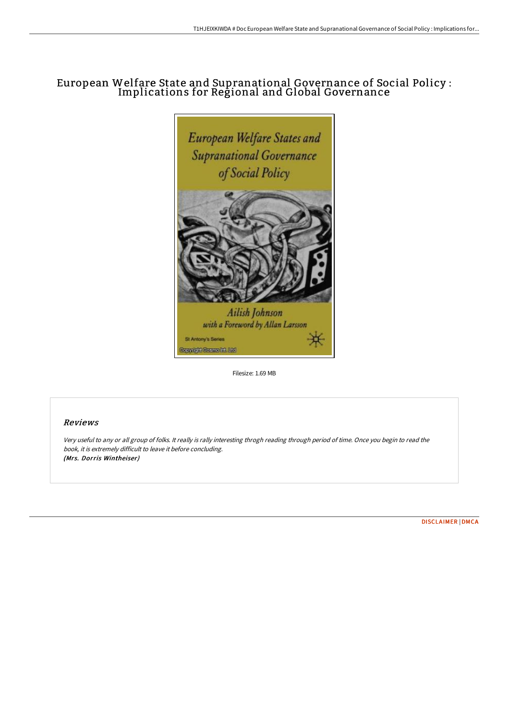# European Welfare State and Supranational Governance of Social Policy : Implications for Regional and Global Governance



Filesize: 1.69 MB

### Reviews

Very useful to any or all group of folks. It really is rally interesting throgh reading through period of time. Once you begin to read the book, it is extremely difficult to leave it before concluding. (Mrs. Dorris Wintheiser)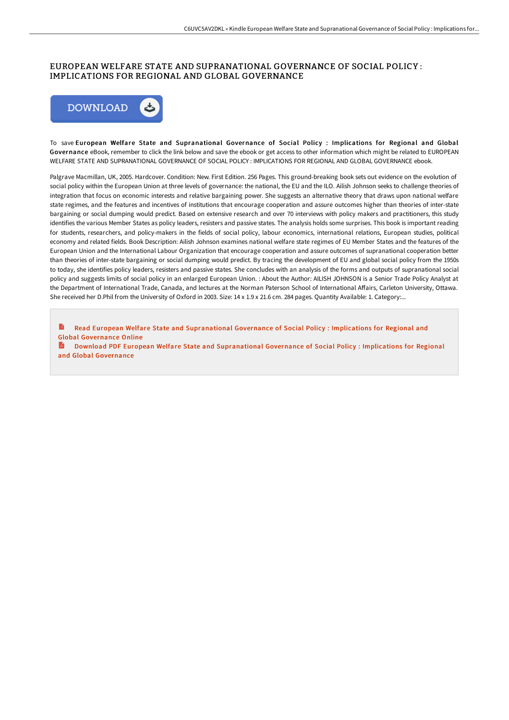#### EUROPEAN WELFARE STATE AND SUPRANATIONAL GOVERNANCE OF SOCIAL POLICY : IMPLICATIONS FOR REGIONAL AND GLOBAL GOVERNANCE



To save European Welfare State and Supranational Governance of Social Policy : Implications for Regional and Global Governance eBook, remember to click the link below and save the ebook or get access to other information which might be related to EUROPEAN WELFARE STATE AND SUPRANATIONAL GOVERNANCE OF SOCIAL POLICY : IMPLICATIONS FOR REGIONAL AND GLOBAL GOVERNANCE ebook.

Palgrave Macmillan, UK, 2005. Hardcover. Condition: New. First Edition. 256 Pages. This ground-breaking book sets out evidence on the evolution of social policy within the European Union at three levels of governance: the national, the EU and the ILO. Ailish Johnson seeks to challenge theories of integration that focus on economic interests and relative bargaining power. She suggests an alternative theory that draws upon national welfare state regimes, and the features and incentives of institutions that encourage cooperation and assure outcomes higher than theories of inter-state bargaining or social dumping would predict. Based on extensive research and over 70 interviews with policy makers and practitioners, this study identifies the various Member States as policy leaders, resisters and passive states. The analysis holds some surprises. This book is important reading for students, researchers, and policy-makers in the fields of social policy, labour economics, international relations, European studies, political economy and related fields. Book Description: Ailish Johnson examines national welfare state regimes of EU Member States and the features of the European Union and the International Labour Organization that encourage cooperation and assure outcomes of supranational cooperation better than theories of inter-state bargaining or social dumping would predict. By tracing the development of EU and global social policy from the 1950s to today, she identifies policy leaders, resisters and passive states. She concludes with an analysis of the forms and outputs of supranational social policy and suggests limits of social policy in an enlarged European Union. : About the Author: AILISH JOHNSON is a Senior Trade Policy Analyst at the Department of International Trade, Canada, and lectures at the Norman Paterson School of International Affairs, Carleton University, Ottawa. She received her D.Phil from the University of Oxford in 2003. Size: 14 x 1.9 x 21.6 cm. 284 pages. Quantity Available: 1. Category:...

B Read European Welfare State and [Supranational](http://www.bookdirs.com/european-welfare-state-and-supranational-governa.html) Governance of Social Policy : Implications for Regional and Global Governance Online

Download PDF European Welfare State and [Supranational](http://www.bookdirs.com/european-welfare-state-and-supranational-governa.html) Governance of Social Policy : Implications for Regional and Global Governance